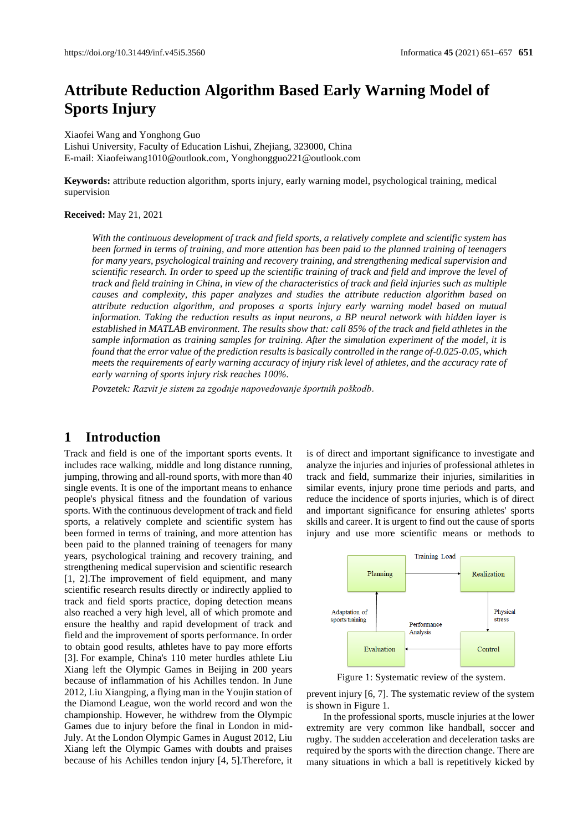# **Attribute Reduction Algorithm Based Early Warning Model of Sports Injury**

Xiaofei Wang and Yonghong Guo Lishui University, Faculty of Education Lishui, Zhejiang, 323000, China E-mail[: Xiaofeiwang1010@outlook.com,](mailto:Xiaofeiwang1010@outlook.com) [Yonghongguo221@outlook.com](mailto:Yonghongguo221@outlook.com)

**Keywords:** attribute reduction algorithm, sports injury, early warning model, psychological training, medical supervision

#### **Received:** May 21, 2021

*With the continuous development of track and field sports, a relatively complete and scientific system has been formed in terms of training, and more attention has been paid to the planned training of teenagers for many years, psychological training and recovery training, and strengthening medical supervision and scientific research. In order to speed up the scientific training of track and field and improve the level of track and field training in China, in view of the characteristics of track and field injuries such as multiple causes and complexity, this paper analyzes and studies the attribute reduction algorithm based on attribute reduction algorithm, and proposes a sports injury early warning model based on mutual information. Taking the reduction results as input neurons, a BP neural network with hidden layer is established in MATLAB environment. The results show that: call 85% of the track and field athletes in the sample information as training samples for training. After the simulation experiment of the model, it is found that the error value of the prediction results is basically controlled in the range of-0.025-0.05, which meets the requirements of early warning accuracy of injury risk level of athletes, and the accuracy rate of early warning of sports injury risk reaches 100%.*

*Povzetek: Razvit je sistem za zgodnje napovedovanje športnih poškodb.*

## **1 Introduction**

Track and field is one of the important sports events. It includes race walking, middle and long distance running, jumping, throwing and all-round sports, with more than 40 single events. It is one of the important means to enhance people's physical fitness and the foundation of various sports. With the continuous development of track and field sports, a relatively complete and scientific system has been formed in terms of training, and more attention has been paid to the planned training of teenagers for many years, psychological training and recovery training, and strengthening medical supervision and scientific research [1, 2].The improvement of field equipment, and many scientific research results directly or indirectly applied to track and field sports practice, doping detection means also reached a very high level, all of which promote and ensure the healthy and rapid development of track and field and the improvement of sports performance. In order to obtain good results, athletes have to pay more efforts [3]. For example, China's 110 meter hurdles athlete Liu Xiang left the Olympic Games in Beijing in 200 years because of inflammation of his Achilles tendon. In June 2012, Liu Xiangping, a flying man in the Youjin station of the Diamond League, won the world record and won the championship. However, he withdrew from the Olympic Games due to injury before the final in London in mid-July. At the London Olympic Games in August 2012, Liu Xiang left the Olympic Games with doubts and praises because of his Achilles tendon injury [4, 5].Therefore, it is of direct and important significance to investigate and analyze the injuries and injuries of professional athletes in track and field, summarize their injuries, similarities in similar events, injury prone time periods and parts, and reduce the incidence of sports injuries, which is of direct and important significance for ensuring athletes' sports skills and career. It is urgent to find out the cause of sports injury and use more scientific means or methods to



Figure 1: Systematic review of the system.

prevent injury [6, 7]. The systematic review of the system is shown in Figure 1.

In the professional sports, muscle injuries at the lower extremity are very common like handball, soccer and rugby. The sudden acceleration and deceleration tasks are required by the sports with the direction change. There are many situations in which a ball is repetitively kicked by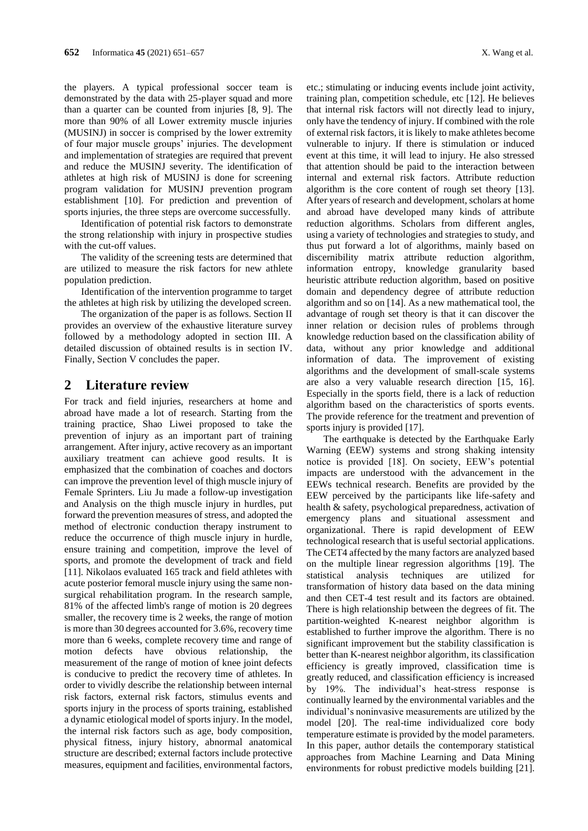the players. A typical professional soccer team is demonstrated by the data with 25-player squad and more than a quarter can be counted from injuries [8, 9]. The more than 90% of all Lower extremity muscle injuries (MUSINJ) in soccer is comprised by the lower extremity of four major muscle groups' injuries. The development and implementation of strategies are required that prevent and reduce the MUSINJ severity. The identification of athletes at high risk of MUSINJ is done for screening program validation for MUSINJ prevention program establishment [10]. For prediction and prevention of sports injuries, the three steps are overcome successfully.

Identification of potential risk factors to demonstrate the strong relationship with injury in prospective studies with the cut-off values.

The validity of the screening tests are determined that are utilized to measure the risk factors for new athlete population prediction.

Identification of the intervention programme to target the athletes at high risk by utilizing the developed screen.

The organization of the paper is as follows. Section II provides an overview of the exhaustive literature survey followed by a methodology adopted in section III. A detailed discussion of obtained results is in section IV. Finally, Section V concludes the paper.

## **2 Literature review**

For track and field injuries, researchers at home and abroad have made a lot of research. Starting from the training practice, Shao Liwei proposed to take the prevention of injury as an important part of training arrangement. After injury, active recovery as an important auxiliary treatment can achieve good results. It is emphasized that the combination of coaches and doctors can improve the prevention level of thigh muscle injury of Female Sprinters. Liu Ju made a follow-up investigation and Analysis on the thigh muscle injury in hurdles, put forward the prevention measures of stress, and adopted the method of electronic conduction therapy instrument to reduce the occurrence of thigh muscle injury in hurdle, ensure training and competition, improve the level of sports, and promote the development of track and field [11]. Nikolaos evaluated 165 track and field athletes with acute posterior femoral muscle injury using the same nonsurgical rehabilitation program. In the research sample, 81% of the affected limb's range of motion is 20 degrees smaller, the recovery time is 2 weeks, the range of motion is more than 30 degrees accounted for 3.6%, recovery time more than 6 weeks, complete recovery time and range of motion defects have obvious relationship, the measurement of the range of motion of knee joint defects is conducive to predict the recovery time of athletes. In order to vividly describe the relationship between internal risk factors, external risk factors, stimulus events and sports injury in the process of sports training, established a dynamic etiological model of sports injury. In the model, the internal risk factors such as age, body composition, physical fitness, injury history, abnormal anatomical structure are described; external factors include protective measures, equipment and facilities, environmental factors,

etc.; stimulating or inducing events include joint activity, training plan, competition schedule, etc [12]. He believes that internal risk factors will not directly lead to injury, only have the tendency of injury. If combined with the role of external risk factors, it is likely to make athletes become vulnerable to injury. If there is stimulation or induced event at this time, it will lead to injury. He also stressed that attention should be paid to the interaction between internal and external risk factors. Attribute reduction algorithm is the core content of rough set theory [13]. After years of research and development, scholars at home and abroad have developed many kinds of attribute reduction algorithms. Scholars from different angles, using a variety of technologies and strategies to study, and thus put forward a lot of algorithms, mainly based on discernibility matrix attribute reduction algorithm, information entropy, knowledge granularity based heuristic attribute reduction algorithm, based on positive domain and dependency degree of attribute reduction algorithm and so on [14]. As a new mathematical tool, the advantage of rough set theory is that it can discover the inner relation or decision rules of problems through knowledge reduction based on the classification ability of data, without any prior knowledge and additional information of data. The improvement of existing algorithms and the development of small-scale systems are also a very valuable research direction [15, 16]. Especially in the sports field, there is a lack of reduction algorithm based on the characteristics of sports events. The provide reference for the treatment and prevention of sports injury is provided [17].

The earthquake is detected by the Earthquake Early Warning (EEW) systems and strong shaking intensity notice is provided [18]. On society, EEW's potential impacts are understood with the advancement in the EEWs technical research. Benefits are provided by the EEW perceived by the participants like life-safety and health & safety, psychological preparedness, activation of emergency plans and situational assessment and organizational. There is rapid development of EEW technological research that is useful sectorial applications. The CET4 affected by the many factors are analyzed based on the multiple linear regression algorithms [19]. The statistical analysis techniques are utilized for transformation of history data based on the data mining and then CET-4 test result and its factors are obtained. There is high relationship between the degrees of fit. The partition-weighted K-nearest neighbor algorithm is established to further improve the algorithm. There is no significant improvement but the stability classification is better than K-nearest neighbor algorithm, its classification efficiency is greatly improved, classification time is greatly reduced, and classification efficiency is increased by 19%. The individual's heat-stress response is continually learned by the environmental variables and the individual's noninvasive measurements are utilized by the model [20]. The real-time individualized core body temperature estimate is provided by the model parameters. In this paper, author details the contemporary statistical approaches from Machine Learning and Data Mining environments for robust predictive models building [21].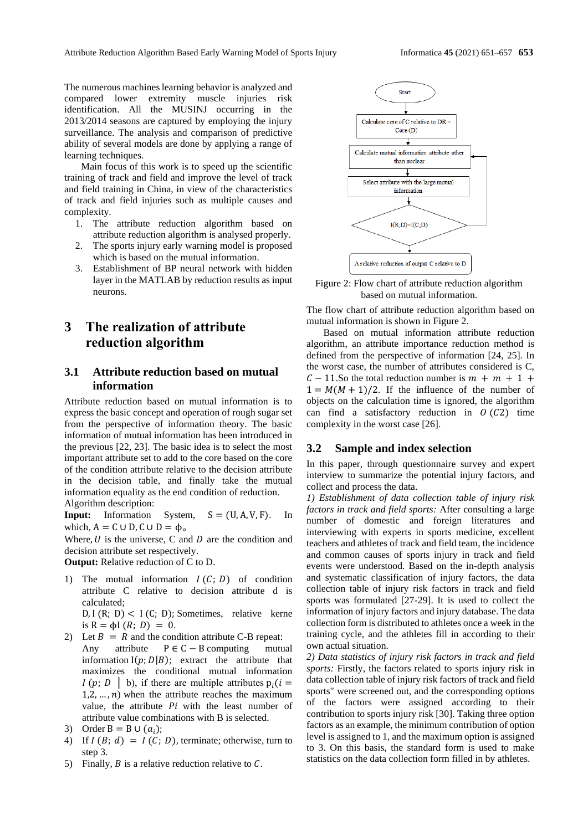The numerous machines learning behavior is analyzed and compared lower extremity muscle injuries risk identification. All the MUSINJ occurring in the 2013/2014 seasons are captured by employing the injury surveillance. The analysis and comparison of predictive ability of several models are done by applying a range of learning techniques.

Main focus of this work is to speed up the scientific training of track and field and improve the level of track and field training in China, in view of the characteristics of track and field injuries such as multiple causes and complexity.

- 1. The attribute reduction algorithm based on attribute reduction algorithm is analysed properly.
- 2. The sports injury early warning model is proposed which is based on the mutual information.
- 3. Establishment of BP neural network with hidden layer in the MATLAB by reduction results as input neurons.

## **3 The realization of attribute reduction algorithm**

## **3.1 Attribute reduction based on mutual information**

Attribute reduction based on mutual information is to express the basic concept and operation of rough sugar set from the perspective of information theory. The basic information of mutual information has been introduced in the previous [22, 23]. The basic idea is to select the most important attribute set to add to the core based on the core of the condition attribute relative to the decision attribute in the decision table, and finally take the mutual information equality as the end condition of reduction. Algorithm description:

**Input:** Information System,  $S = (U, A, V, F)$ . In which,  $A = C \cup D$ ,  $C \cup D = \Phi$ .

Where,  $U$  is the universe, C and  $D$  are the condition and decision attribute set respectively.

**Output:** Relative reduction of C to D.

1) The mutual information  $I(C; D)$  of condition attribute C relative to decision attribute d is calculated;

 $D, I (R; D) < I (C; D)$ ; Sometimes, relative kerne is  $R = \phi I (R; D) = 0$ .

- 2) Let  $B = R$  and the condition attribute C-B repeat: Any attribute  $P \in C - B$  computing mutual information  $I(p;D|B)$ ; extract the attribute that maximizes the conditional mutual information I (p; D | b), if there are multiple attributes  $p_i(i =$ 1,2, ...,  $n$ ) when the attribute reaches the maximum value, the attribute  $Pi$  with the least number of attribute value combinations with B is selected.
- 3) Order B = B  $\cup$   $(a_i)$ ;
- 4) If  $I(B; d) = I(C; D)$ , terminate; otherwise, turn to step 3.
- 5) Finally,  $B$  is a relative reduction relative to  $C$ .



Figure 2: Flow chart of attribute reduction algorithm based on mutual information.

The flow chart of attribute reduction algorithm based on mutual information is shown in Figure 2.

Based on mutual information attribute reduction algorithm, an attribute importance reduction method is defined from the perspective of information [24, 25]. In the worst case, the number of attributes considered is C,  $C - 11$ . So the total reduction number is  $m + m + 1 +$  $1 = M(M + 1)/2$ . If the influence of the number of objects on the calculation time is ignored, the algorithm can find a satisfactory reduction in  $O(C2)$  time complexity in the worst case [26].

#### **3.2 Sample and index selection**

In this paper, through questionnaire survey and expert interview to summarize the potential injury factors, and collect and process the data.

*1) Establishment of data collection table of injury risk factors in track and field sports:* After consulting a large number of domestic and foreign literatures and interviewing with experts in sports medicine, excellent teachers and athletes of track and field team, the incidence and common causes of sports injury in track and field events were understood. Based on the in-depth analysis and systematic classification of injury factors, the data collection table of injury risk factors in track and field sports was formulated [27-29]. It is used to collect the information of injury factors and injury database. The data collection form is distributed to athletes once a week in the training cycle, and the athletes fill in according to their own actual situation.

*2) Data statistics of injury risk factors in track and field sports:* Firstly, the factors related to sports injury risk in data collection table of injury risk factors of track and field sports" were screened out, and the corresponding options of the factors were assigned according to their contribution to sports injury risk [30]. Taking three option factors as an example, the minimum contribution of option level is assigned to 1, and the maximum option is assigned to 3. On this basis, the standard form is used to make statistics on the data collection form filled in by athletes.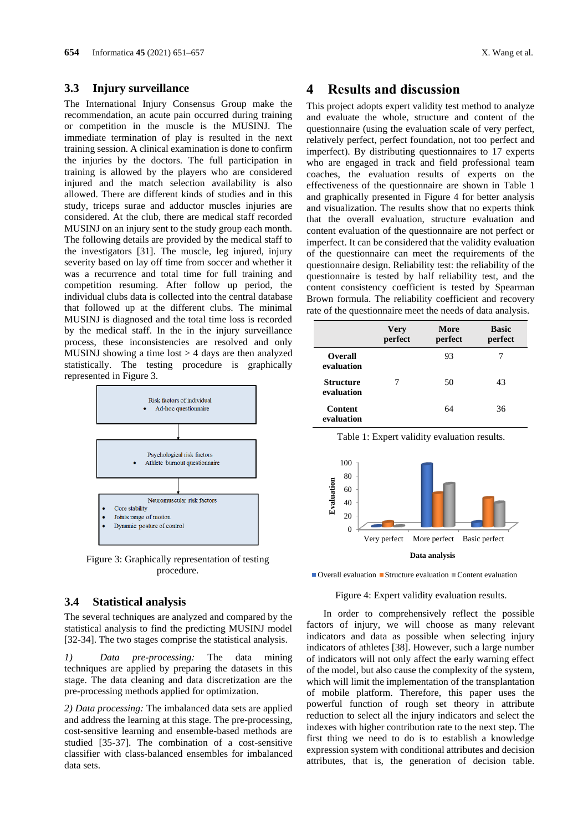#### **3.3 Injury surveillance**

The International Injury Consensus Group make the recommendation, an acute pain occurred during training or competition in the muscle is the MUSINJ. The immediate termination of play is resulted in the next training session. A clinical examination is done to confirm the injuries by the doctors. The full participation in training is allowed by the players who are considered injured and the match selection availability is also allowed. There are different kinds of studies and in this study, triceps surae and adductor muscles injuries are considered. At the club, there are medical staff recorded MUSINJ on an injury sent to the study group each month. The following details are provided by the medical staff to the investigators [31]. The muscle, leg injured, injury severity based on lay off time from soccer and whether it was a recurrence and total time for full training and competition resuming. After follow up period, the individual clubs data is collected into the central database that followed up at the different clubs. The minimal MUSINJ is diagnosed and the total time loss is recorded by the medical staff. In the in the injury surveillance process, these inconsistencies are resolved and only MUSINJ showing a time  $\text{lost} > 4$  days are then analyzed statistically. The testing procedure is graphically represented in Figure 3.



Figure 3: Graphically representation of testing procedure.

#### **3.4 Statistical analysis**

The several techniques are analyzed and compared by the statistical analysis to find the predicting MUSINJ model [32-34]. The two stages comprise the statistical analysis.

*1) Data pre-processing:* The data mining techniques are applied by preparing the datasets in this stage. The data cleaning and data discretization are the pre-processing methods applied for optimization.

*2) Data processing:* The imbalanced data sets are applied and address the learning at this stage. The pre-processing, cost-sensitive learning and ensemble-based methods are studied [35-37]. The combination of a cost-sensitive classifier with class-balanced ensembles for imbalanced data sets.

## **4 Results and discussion**

This project adopts expert validity test method to analyze and evaluate the whole, structure and content of the questionnaire (using the evaluation scale of very perfect, relatively perfect, perfect foundation, not too perfect and imperfect). By distributing questionnaires to 17 experts who are engaged in track and field professional team coaches, the evaluation results of experts on the effectiveness of the questionnaire are shown in Table 1 and graphically presented in Figure 4 for better analysis and visualization. The results show that no experts think that the overall evaluation, structure evaluation and content evaluation of the questionnaire are not perfect or imperfect. It can be considered that the validity evaluation of the questionnaire can meet the requirements of the questionnaire design. Reliability test: the reliability of the questionnaire is tested by half reliability test, and the content consistency coefficient is tested by Spearman Brown formula. The reliability coefficient and recovery rate of the questionnaire meet the needs of data analysis.

|                                | <b>Very</b><br>perfect | More<br>perfect | <b>Basic</b><br>perfect |
|--------------------------------|------------------------|-----------------|-------------------------|
| <b>Overall</b><br>evaluation   |                        | 93              |                         |
| <b>Structure</b><br>evaluation | 7                      | 50              | 43                      |
| <b>Content</b><br>evaluation   |                        | 64              | 36                      |

Table 1: Expert validity evaluation results.



 $\Box$  Overall evaluation  $\Box$  Structure evaluation  $\Box$  Content evaluation

#### Figure 4: Expert validity evaluation results.

In order to comprehensively reflect the possible factors of injury, we will choose as many relevant indicators and data as possible when selecting injury indicators of athletes [38]. However, such a large number of indicators will not only affect the early warning effect of the model, but also cause the complexity of the system, which will limit the implementation of the transplantation of mobile platform. Therefore, this paper uses the powerful function of rough set theory in attribute reduction to select all the injury indicators and select the indexes with higher contribution rate to the next step. The first thing we need to do is to establish a knowledge expression system with conditional attributes and decision attributes, that is, the generation of decision table.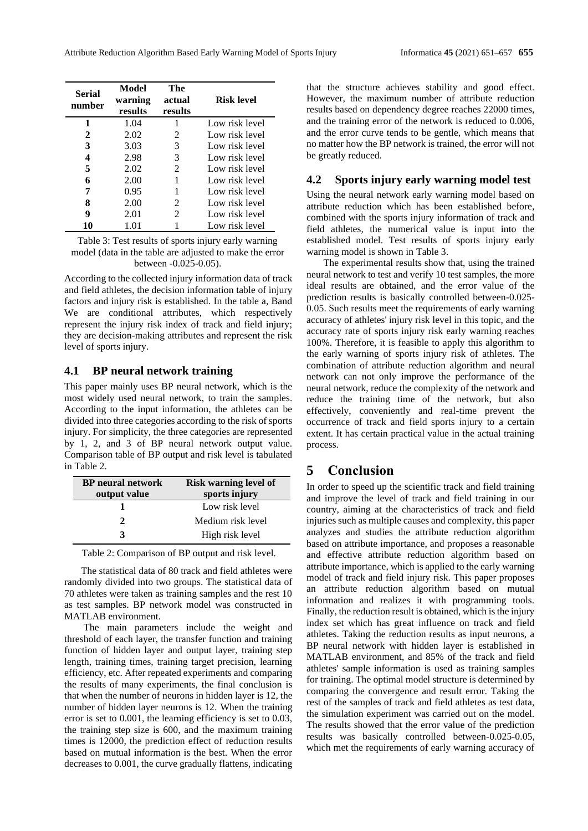| <b>Serial</b><br>number | Model<br>warning<br>results | The<br>actual<br>results | Risk level     |
|-------------------------|-----------------------------|--------------------------|----------------|
| 1                       | 1.04                        |                          | Low risk level |
| 2                       | 2.02                        | 2                        | Low risk level |
| 3                       | 3.03                        | 3                        | Low risk level |
| 4                       | 2.98                        | 3                        | Low risk level |
| 5                       | 2.02                        | $\mathcal{L}$            | Low risk level |
| 6                       | 2.00                        |                          | Low risk level |
| 7                       | 0.95                        |                          | Low risk level |
| 8                       | 2.00                        | $\mathcal{L}$            | Low risk level |
| 9                       | 2.01                        | 2                        | Low risk level |
| 10                      | 1.01                        |                          | Low risk level |

Table 3: Test results of sports injury early warning model (data in the table are adjusted to make the error between -0.025-0.05).

According to the collected injury information data of track and field athletes, the decision information table of injury factors and injury risk is established. In the table a, Band We are conditional attributes, which respectively represent the injury risk index of track and field injury; they are decision-making attributes and represent the risk level of sports injury.

### **4.1 BP neural network training**

This paper mainly uses BP neural network, which is the most widely used neural network, to train the samples. According to the input information, the athletes can be divided into three categories according to the risk of sports injury. For simplicity, the three categories are represented by 1, 2, and 3 of BP neural network output value. Comparison table of BP output and risk level is tabulated in Table 2.

| <b>BP</b> neural network | <b>Risk warning level of</b> |  |  |
|--------------------------|------------------------------|--|--|
| output value             | sports injury                |  |  |
|                          | Low risk level               |  |  |
|                          | Medium risk level            |  |  |
|                          | High risk level              |  |  |

| Table 2: Comparison of BP output and risk level. |  |  |  |  |  |  |  |  |
|--------------------------------------------------|--|--|--|--|--|--|--|--|
|--------------------------------------------------|--|--|--|--|--|--|--|--|

The statistical data of 80 track and field athletes were randomly divided into two groups. The statistical data of 70 athletes were taken as training samples and the rest 10 as test samples. BP network model was constructed in MATLAB environment.

The main parameters include the weight and threshold of each layer, the transfer function and training function of hidden layer and output layer, training step length, training times, training target precision, learning efficiency, etc. After repeated experiments and comparing the results of many experiments, the final conclusion is that when the number of neurons in hidden layer is 12, the number of hidden layer neurons is 12. When the training error is set to 0.001, the learning efficiency is set to 0.03, the training step size is 600, and the maximum training times is 12000, the prediction effect of reduction results based on mutual information is the best. When the error decreases to 0.001, the curve gradually flattens, indicating

that the structure achieves stability and good effect. However, the maximum number of attribute reduction results based on dependency degree reaches 22000 times, and the training error of the network is reduced to 0.006, and the error curve tends to be gentle, which means that no matter how the BP network is trained, the error will not be greatly reduced.

#### **4.2 Sports injury early warning model test**

Using the neural network early warning model based on attribute reduction which has been established before, combined with the sports injury information of track and field athletes, the numerical value is input into the established model. Test results of sports injury early warning model is shown in Table 3.

The experimental results show that, using the trained neural network to test and verify 10 test samples, the more ideal results are obtained, and the error value of the prediction results is basically controlled between-0.025- 0.05. Such results meet the requirements of early warning accuracy of athletes' injury risk level in this topic, and the accuracy rate of sports injury risk early warning reaches 100%. Therefore, it is feasible to apply this algorithm to the early warning of sports injury risk of athletes. The combination of attribute reduction algorithm and neural network can not only improve the performance of the neural network, reduce the complexity of the network and reduce the training time of the network, but also effectively, conveniently and real-time prevent the occurrence of track and field sports injury to a certain extent. It has certain practical value in the actual training process.

## **5 Conclusion**

In order to speed up the scientific track and field training and improve the level of track and field training in our country, aiming at the characteristics of track and field injuries such as multiple causes and complexity, this paper analyzes and studies the attribute reduction algorithm based on attribute importance, and proposes a reasonable and effective attribute reduction algorithm based on attribute importance, which is applied to the early warning model of track and field injury risk. This paper proposes an attribute reduction algorithm based on mutual information and realizes it with programming tools. Finally, the reduction result is obtained, which is the injury index set which has great influence on track and field athletes. Taking the reduction results as input neurons, a BP neural network with hidden layer is established in MATLAB environment, and 85% of the track and field athletes' sample information is used as training samples for training. The optimal model structure is determined by comparing the convergence and result error. Taking the rest of the samples of track and field athletes as test data, the simulation experiment was carried out on the model. The results showed that the error value of the prediction results was basically controlled between-0.025-0.05, which met the requirements of early warning accuracy of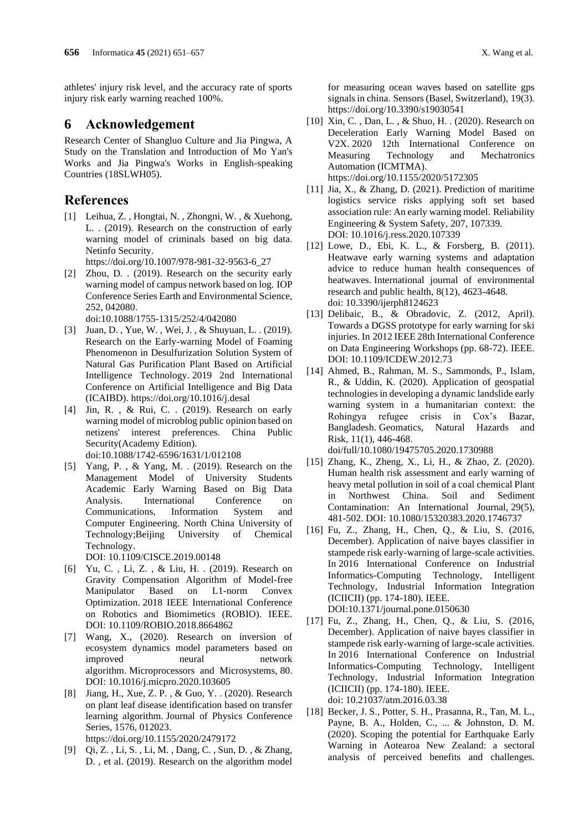athletes' injury risk level, and the accuracy rate of sports injury risk early warning reached 100%.

## **6 Acknowledgement**

Research Center of Shangluo Culture and Jia Pingwa, A Study on the Translation and Introduction of Mo Yan's Works and Jia Pingwa's Works in English-speaking Countries (18SLWH05).

## **References**

[1] Leihua, Z. , Hongtai, N. , Zhongni, W. , & Xuehong, L. . (2019). Research on the construction of early warning model of criminals based on big data. Netinfo Security.

https://doi.org/10.1007/978-981-32-9563-6\_27

[2] Zhou, D. . (2019). Research on the security early warning model of campus network based on log. IOP Conference Series Earth and Environmental Science, 252, 042080.

doi:10.1088/1755-1315/252/4/042080

- [3] Juan, D. , Yue, W. , Wei, J. , & Shuyuan, L. . (2019). Research on the Early-warning Model of Foaming Phenomenon in Desulfurization Solution System of Natural Gas Purification Plant Based on Artificial Intelligence Technology. 2019 2nd International Conference on Artificial Intelligence and Big Data (ICAIBD). https://doi.org/10.1016/j.desal
- [4] Jin, R. , & Rui, C. . (2019). Research on early warning model of microblog public opinion based on netizens' interest preferences. China Public Security(Academy Edition). doi:10.1088/1742-6596/1631/1/012108
- [5] Yang, P. , & Yang, M. . (2019). Research on the Management Model of University Students Academic Early Warning Based on Big Data Analysis. International Conference on Communications, Information System and Computer Engineering. North China University of Technology;Beijing University of Chemical Technology.

DOI: 10.1109/CISCE.2019.00148

- [6] Yu, C. , Li, Z. , & Liu, H. . (2019). Research on Gravity Compensation Algorithm of Model-free Manipulator Based on L1-norm Convex Optimization. 2018 IEEE International Conference on Robotics and Biomimetics (ROBIO). IEEE. DOI: 10.1109/ROBIO.2018.8664862
- [7] Wang, X., (2020). Research on inversion of ecosystem dynamics model parameters based on improved neural network algorithm. Microprocessors and Microsystems, 80. DOI: 10.1016/j.micpro.2020.103605
- [8] Jiang, H., Xue, Z. P. , & Guo, Y. . (2020). Research on plant leaf disease identification based on transfer learning algorithm. Journal of Physics Conference Series, 1576, 012023.

https://doi.org/10.1155/2020/2479172

[9] Qi, Z. , Li, S. , Li, M. , Dang, C. , Sun, D. , & Zhang, D. , et al. (2019). Research on the algorithm model for measuring ocean waves based on satellite gps signals in china. Sensors (Basel, Switzerland), 19(3). https://doi.org/10.3390/s19030541

- [10] Xin, C. , Dan, L. , & Shuo, H. . (2020). Research on Deceleration Early Warning Model Based on V2X. 2020 12th International Conference on Measuring Technology and Mechatronics Automation (ICMTMA). https://doi.org/10.1155/2020/5172305
- [11] Jia, X., & Zhang, D. (2021). Prediction of maritime logistics service risks applying soft set based association rule: An early warning model. Reliability Engineering & System Safety, 207, 107339. DOI: 10.1016/j.ress.2020.107339
- [12] Lowe, D., Ebi, K. L., & Forsberg, B. (2011). Heatwave early warning systems and adaptation advice to reduce human health consequences of heatwaves. International journal of environmental research and public health, 8(12), 4623-4648. doi: 10.3390/ijerph8124623
- [13] Delibaic, B., & Obradovic, Z. (2012, April). Towards a DGSS prototype for early warning for ski injuries. In 2012 IEEE 28th International Conference on Data Engineering Workshops (pp. 68-72). IEEE. DOI: 10.1109/ICDEW.2012.73
- [14] Ahmed, B., Rahman, M. S., Sammonds, P., Islam, R., & Uddin, K. (2020). Application of geospatial technologies in developing a dynamic landslide early warning system in a humanitarian context: the Rohingya refugee crisis in Cox's Bazar, Bangladesh. Geomatics, Natural Hazards and Risk, 11(1), 446-468. doi/full/10.1080/19475705.2020.1730988
- [15] Zhang, K., Zheng, X., Li, H., & Zhao, Z. (2020). Human health risk assessment and early warning of heavy metal pollution in soil of a coal chemical Plant in Northwest China. Soil and Sediment Contamination: An International Journal, 29(5), 481-502. DOI: 10.1080/15320383.2020.1746737
- [16] Fu, Z., Zhang, H., Chen, Q., & Liu, S. (2016, December). Application of naive bayes classifier in stampede risk early-warning of large-scale activities. In 2016 International Conference on Industrial Informatics-Computing Technology, Intelligent Technology, Industrial Information Integration (ICIICII) (pp. 174-180). IEEE. DOI:10.1371/journal.pone.0150630
- [17] Fu, Z., Zhang, H., Chen, Q., & Liu, S. (2016, December). Application of naive bayes classifier in stampede risk early-warning of large-scale activities. In 2016 International Conference on Industrial Informatics-Computing Technology, Intelligent Technology, Industrial Information Integration (ICIICII) (pp. 174-180). IEEE. doi: 10.21037/atm.2016.03.38
- [18] Becker, J. S., Potter, S. H., Prasanna, R., Tan, M. L., Payne, B. A., Holden, C., ... & Johnston, D. M. (2020). Scoping the potential for Earthquake Early Warning in Aotearoa New Zealand: a sectoral analysis of perceived benefits and challenges.